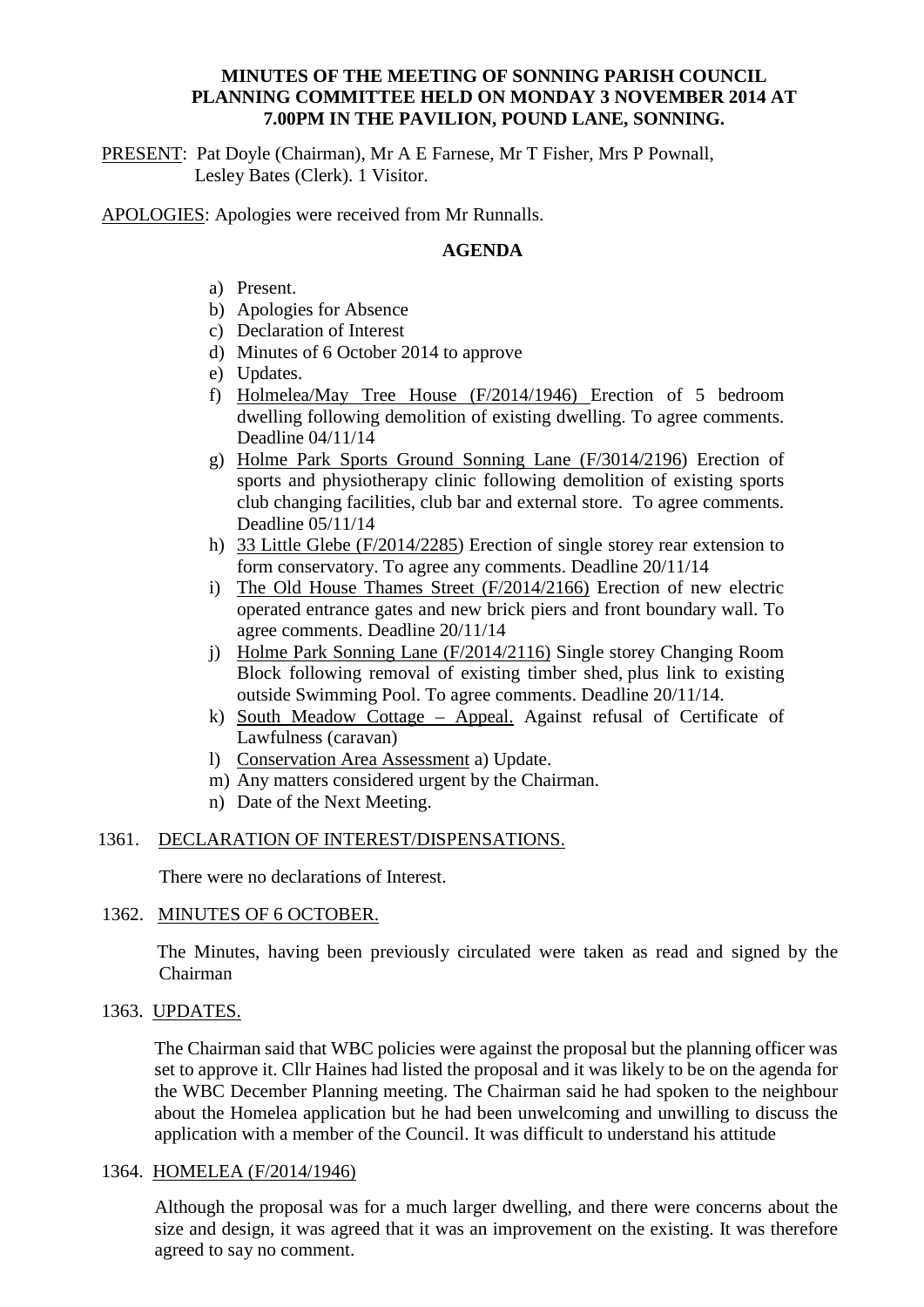### **MINUTES OF THE MEETING OF SONNING PARISH COUNCIL PLANNING COMMITTEE HELD ON MONDAY 3 NOVEMBER 2014 AT 7.00PM IN THE PAVILION, POUND LANE, SONNING.**

PRESENT: Pat Doyle (Chairman), Mr A E Farnese, Mr T Fisher, Mrs P Pownall, Lesley Bates (Clerk). 1 Visitor.

APOLOGIES: Apologies were received from Mr Runnalls.

### **AGENDA**

- a) Present.
- b) Apologies for Absence
- c) Declaration of Interest
- d) Minutes of 6 October 2014 to approve
- e) Updates.
- f) Holmelea/May Tree House (F/2014/1946) Erection of 5 bedroom dwelling following demolition of existing dwelling. To agree comments. Deadline 04/11/14
- g) Holme Park Sports Ground Sonning Lane (F/3014/2196) Erection of sports and physiotherapy clinic following demolition of existing sports club changing facilities, club bar and external store. To agree comments. Deadline 05/11/14
- h) 33 Little Glebe (F/2014/2285) Erection of single storey rear extension to form conservatory. To agree any comments. Deadline 20/11/14
- i) The Old House Thames Street (F/2014/2166) Erection of new electric operated entrance gates and new brick piers and front boundary wall. To agree comments. Deadline 20/11/14
- j) Holme Park Sonning Lane (F/2014/2116) Single storey Changing Room Block following removal of existing timber shed, plus link to existing outside Swimming Pool. To agree comments. Deadline 20/11/14.
- k) South Meadow Cottage Appeal. Against refusal of Certificate of Lawfulness (caravan)
- l) Conservation Area Assessment a) Update.
- m) Any matters considered urgent by the Chairman.
- n) Date of the Next Meeting.

#### 1361. DECLARATION OF INTEREST/DISPENSATIONS.

There were no declarations of Interest.

#### 1362. MINUTES OF 6 OCTOBER.

 The Minutes, having been previously circulated were taken as read and signed by the Chairman

1363. UPDATES.

The Chairman said that WBC policies were against the proposal but the planning officer was set to approve it. Cllr Haines had listed the proposal and it was likely to be on the agenda for the WBC December Planning meeting. The Chairman said he had spoken to the neighbour about the Homelea application but he had been unwelcoming and unwilling to discuss the application with a member of the Council. It was difficult to understand his attitude

#### 1364. HOMELEA (F/2014/1946)

Although the proposal was for a much larger dwelling, and there were concerns about the size and design, it was agreed that it was an improvement on the existing. It was therefore agreed to say no comment.